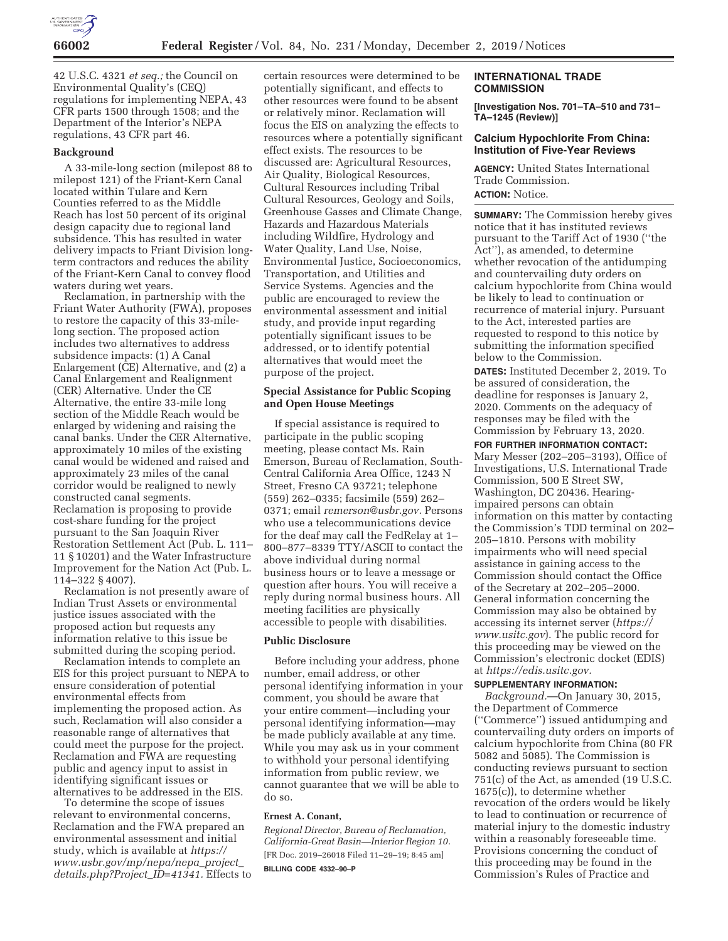

42 U.S.C. 4321 *et seq.;* the Council on Environmental Quality's (CEQ) regulations for implementing NEPA, 43 CFR parts 1500 through 1508; and the Department of the Interior's NEPA regulations, 43 CFR part 46.

#### **Background**

A 33-mile-long section (milepost 88 to milepost 121) of the Friant-Kern Canal located within Tulare and Kern Counties referred to as the Middle Reach has lost 50 percent of its original design capacity due to regional land subsidence. This has resulted in water delivery impacts to Friant Division longterm contractors and reduces the ability of the Friant-Kern Canal to convey flood waters during wet years.

Reclamation, in partnership with the Friant Water Authority (FWA), proposes to restore the capacity of this 33-milelong section. The proposed action includes two alternatives to address subsidence impacts: (1) A Canal Enlargement (CE) Alternative, and (2) a Canal Enlargement and Realignment (CER) Alternative. Under the CE Alternative, the entire 33-mile long section of the Middle Reach would be enlarged by widening and raising the canal banks. Under the CER Alternative, approximately 10 miles of the existing canal would be widened and raised and approximately 23 miles of the canal corridor would be realigned to newly constructed canal segments. Reclamation is proposing to provide cost-share funding for the project pursuant to the San Joaquin River Restoration Settlement Act (Pub. L. 111– 11 § 10201) and the Water Infrastructure Improvement for the Nation Act (Pub. L. 114–322 § 4007).

Reclamation is not presently aware of Indian Trust Assets or environmental justice issues associated with the proposed action but requests any information relative to this issue be submitted during the scoping period.

Reclamation intends to complete an EIS for this project pursuant to NEPA to ensure consideration of potential environmental effects from implementing the proposed action. As such, Reclamation will also consider a reasonable range of alternatives that could meet the purpose for the project. Reclamation and FWA are requesting public and agency input to assist in identifying significant issues or alternatives to be addressed in the EIS.

To determine the scope of issues relevant to environmental concerns, Reclamation and the FWA prepared an environmental assessment and initial study, which is available at *https:// www.usbr.gov/mp/nepa/nepa*\_*project*\_ *details.php?Project*\_*ID=41341.* Effects to

certain resources were determined to be potentially significant, and effects to other resources were found to be absent or relatively minor. Reclamation will focus the EIS on analyzing the effects to resources where a potentially significant effect exists. The resources to be discussed are: Agricultural Resources, Air Quality, Biological Resources, Cultural Resources including Tribal Cultural Resources, Geology and Soils, Greenhouse Gasses and Climate Change, Hazards and Hazardous Materials including Wildfire, Hydrology and Water Quality, Land Use, Noise, Environmental Justice, Socioeconomics, Transportation, and Utilities and Service Systems. Agencies and the public are encouraged to review the environmental assessment and initial study, and provide input regarding potentially significant issues to be addressed, or to identify potential alternatives that would meet the purpose of the project.

## **Special Assistance for Public Scoping and Open House Meetings**

If special assistance is required to participate in the public scoping meeting, please contact Ms. Rain Emerson, Bureau of Reclamation, South-Central California Area Office, 1243 N Street, Fresno CA 93721; telephone (559) 262–0335; facsimile (559) 262– 0371; email *remerson@usbr.gov.* Persons who use a telecommunications device for the deaf may call the FedRelay at 1– 800–877–8339 TTY/ASCII to contact the above individual during normal business hours or to leave a message or question after hours. You will receive a reply during normal business hours. All meeting facilities are physically accessible to people with disabilities.

# **Public Disclosure**

Before including your address, phone number, email address, or other personal identifying information in your comment, you should be aware that your entire comment—including your personal identifying information—may be made publicly available at any time. While you may ask us in your comment to withhold your personal identifying information from public review, we cannot guarantee that we will be able to do so.

### **Ernest A. Conant,**

*Regional Director, Bureau of Reclamation, California-Great Basin—Interior Region 10.*  [FR Doc. 2019–26018 Filed 11–29–19; 8:45 am] **BILLING CODE 4332–90–P** 

### **INTERNATIONAL TRADE COMMISSION**

**[Investigation Nos. 701–TA–510 and 731– TA–1245 (Review)]** 

# **Calcium Hypochlorite From China: Institution of Five-Year Reviews**

**AGENCY:** United States International Trade Commission. **ACTION:** Notice.

**SUMMARY:** The Commission hereby gives notice that it has instituted reviews pursuant to the Tariff Act of 1930 (''the Act''), as amended, to determine whether revocation of the antidumping and countervailing duty orders on calcium hypochlorite from China would be likely to lead to continuation or recurrence of material injury. Pursuant to the Act, interested parties are requested to respond to this notice by submitting the information specified below to the Commission.

**DATES:** Instituted December 2, 2019. To be assured of consideration, the deadline for responses is January 2, 2020. Comments on the adequacy of responses may be filed with the Commission by February 13, 2020.

#### **FOR FURTHER INFORMATION CONTACT:**

Mary Messer (202–205–3193), Office of Investigations, U.S. International Trade Commission, 500 E Street SW, Washington, DC 20436. Hearingimpaired persons can obtain information on this matter by contacting the Commission's TDD terminal on 202– 205–1810. Persons with mobility impairments who will need special assistance in gaining access to the Commission should contact the Office of the Secretary at 202–205–2000. General information concerning the Commission may also be obtained by accessing its internet server (*https:// www.usitc.gov*). The public record for this proceeding may be viewed on the Commission's electronic docket (EDIS) at *https://edis.usitc.gov.* 

### **SUPPLEMENTARY INFORMATION:**

*Background.*—On January 30, 2015, the Department of Commerce (''Commerce'') issued antidumping and countervailing duty orders on imports of calcium hypochlorite from China (80 FR 5082 and 5085). The Commission is conducting reviews pursuant to section 751(c) of the Act, as amended (19 U.S.C. 1675(c)), to determine whether revocation of the orders would be likely to lead to continuation or recurrence of material injury to the domestic industry within a reasonably foreseeable time. Provisions concerning the conduct of this proceeding may be found in the Commission's Rules of Practice and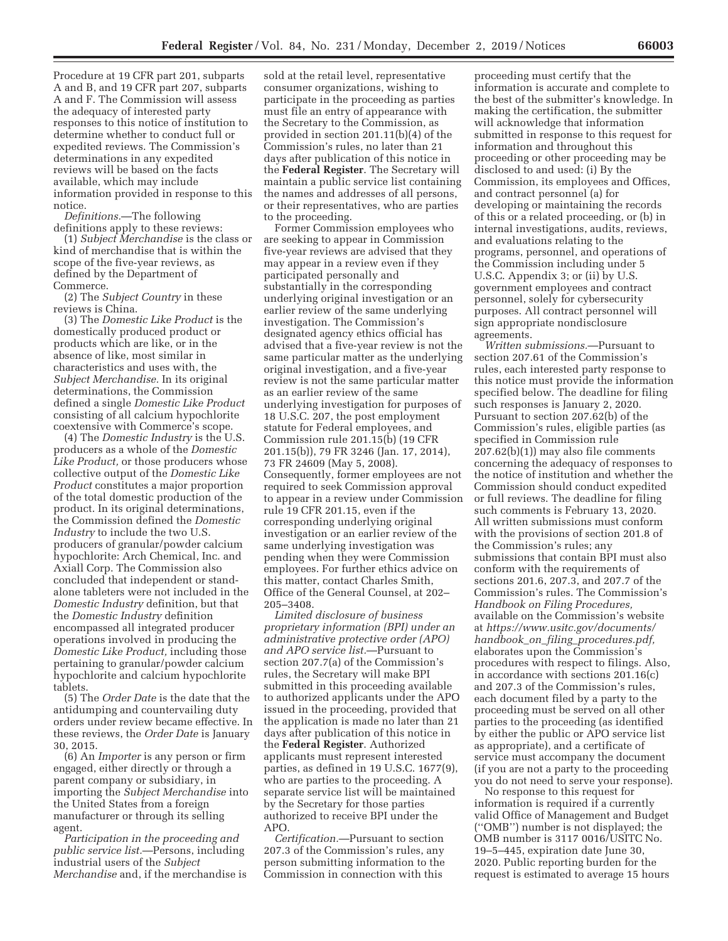Procedure at 19 CFR part 201, subparts A and B, and 19 CFR part 207, subparts A and F. The Commission will assess the adequacy of interested party responses to this notice of institution to determine whether to conduct full or expedited reviews. The Commission's determinations in any expedited reviews will be based on the facts available, which may include information provided in response to this notice.

*Definitions.*—The following definitions apply to these reviews:

(1) *Subject Merchandise* is the class or kind of merchandise that is within the scope of the five-year reviews, as defined by the Department of Commerce.

(2) The *Subject Country* in these reviews is China.

(3) The *Domestic Like Product* is the domestically produced product or products which are like, or in the absence of like, most similar in characteristics and uses with, the *Subject Merchandise.* In its original determinations, the Commission defined a single *Domestic Like Product*  consisting of all calcium hypochlorite coextensive with Commerce's scope.

(4) The *Domestic Industry* is the U.S. producers as a whole of the *Domestic Like Product,* or those producers whose collective output of the *Domestic Like Product* constitutes a major proportion of the total domestic production of the product. In its original determinations, the Commission defined the *Domestic Industry* to include the two U.S. producers of granular/powder calcium hypochlorite: Arch Chemical, Inc. and Axiall Corp. The Commission also concluded that independent or standalone tableters were not included in the *Domestic Industry* definition, but that the *Domestic Industry* definition encompassed all integrated producer operations involved in producing the *Domestic Like Product,* including those pertaining to granular/powder calcium hypochlorite and calcium hypochlorite tablets.

(5) The *Order Date* is the date that the antidumping and countervailing duty orders under review became effective. In these reviews, the *Order Date* is January 30, 2015.

(6) An *Importer* is any person or firm engaged, either directly or through a parent company or subsidiary, in importing the *Subject Merchandise* into the United States from a foreign manufacturer or through its selling agent.

*Participation in the proceeding and public service list.*—Persons, including industrial users of the *Subject Merchandise* and, if the merchandise is

sold at the retail level, representative consumer organizations, wishing to participate in the proceeding as parties must file an entry of appearance with the Secretary to the Commission, as provided in section 201.11(b)(4) of the Commission's rules, no later than 21 days after publication of this notice in the **Federal Register**. The Secretary will maintain a public service list containing the names and addresses of all persons, or their representatives, who are parties to the proceeding.

Former Commission employees who are seeking to appear in Commission five-year reviews are advised that they may appear in a review even if they participated personally and substantially in the corresponding underlying original investigation or an earlier review of the same underlying investigation. The Commission's designated agency ethics official has advised that a five-year review is not the same particular matter as the underlying original investigation, and a five-year review is not the same particular matter as an earlier review of the same underlying investigation for purposes of 18 U.S.C. 207, the post employment statute for Federal employees, and Commission rule 201.15(b) (19 CFR 201.15(b)), 79 FR 3246 (Jan. 17, 2014), 73 FR 24609 (May 5, 2008). Consequently, former employees are not required to seek Commission approval to appear in a review under Commission rule 19 CFR 201.15, even if the corresponding underlying original investigation or an earlier review of the same underlying investigation was pending when they were Commission employees. For further ethics advice on this matter, contact Charles Smith, Office of the General Counsel, at 202– 205–3408.

*Limited disclosure of business proprietary information (BPI) under an administrative protective order (APO) and APO service list.*—Pursuant to section 207.7(a) of the Commission's rules, the Secretary will make BPI submitted in this proceeding available to authorized applicants under the APO issued in the proceeding, provided that the application is made no later than 21 days after publication of this notice in the **Federal Register**. Authorized applicants must represent interested parties, as defined in 19 U.S.C. 1677(9), who are parties to the proceeding. A separate service list will be maintained by the Secretary for those parties authorized to receive BPI under the APO.

*Certification.*—Pursuant to section 207.3 of the Commission's rules, any person submitting information to the Commission in connection with this

proceeding must certify that the information is accurate and complete to the best of the submitter's knowledge. In making the certification, the submitter will acknowledge that information submitted in response to this request for information and throughout this proceeding or other proceeding may be disclosed to and used: (i) By the Commission, its employees and Offices, and contract personnel (a) for developing or maintaining the records of this or a related proceeding, or (b) in internal investigations, audits, reviews, and evaluations relating to the programs, personnel, and operations of the Commission including under 5 U.S.C. Appendix 3; or (ii) by U.S. government employees and contract personnel, solely for cybersecurity purposes. All contract personnel will sign appropriate nondisclosure agreements.

*Written submissions.*—Pursuant to section 207.61 of the Commission's rules, each interested party response to this notice must provide the information specified below. The deadline for filing such responses is January 2, 2020. Pursuant to section 207.62(b) of the Commission's rules, eligible parties (as specified in Commission rule 207.62(b)(1)) may also file comments concerning the adequacy of responses to the notice of institution and whether the Commission should conduct expedited or full reviews. The deadline for filing such comments is February 13, 2020. All written submissions must conform with the provisions of section 201.8 of the Commission's rules; any submissions that contain BPI must also conform with the requirements of sections 201.6, 207.3, and 207.7 of the Commission's rules. The Commission's *Handbook on Filing Procedures,*  available on the Commission's website at *https://www.usitc.gov/documents/ handbook*\_*on*\_*filing*\_*procedures.pdf,*  elaborates upon the Commission's procedures with respect to filings. Also, in accordance with sections 201.16(c) and 207.3 of the Commission's rules, each document filed by a party to the proceeding must be served on all other parties to the proceeding (as identified by either the public or APO service list as appropriate), and a certificate of service must accompany the document (if you are not a party to the proceeding you do not need to serve your response).

No response to this request for information is required if a currently valid Office of Management and Budget (''OMB'') number is not displayed; the OMB number is 3117 0016/USITC No. 19–5–445, expiration date June 30, 2020. Public reporting burden for the request is estimated to average 15 hours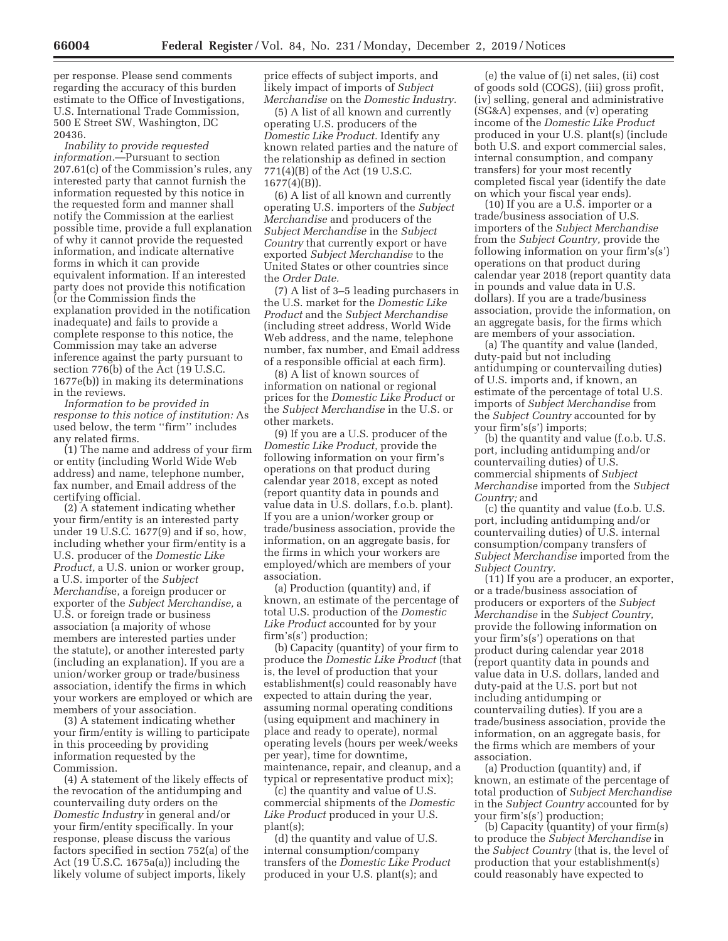per response. Please send comments regarding the accuracy of this burden estimate to the Office of Investigations, U.S. International Trade Commission, 500 E Street SW, Washington, DC 20436.

*Inability to provide requested information.*—Pursuant to section 207.61(c) of the Commission's rules, any interested party that cannot furnish the information requested by this notice in the requested form and manner shall notify the Commission at the earliest possible time, provide a full explanation of why it cannot provide the requested information, and indicate alternative forms in which it can provide equivalent information. If an interested party does not provide this notification (or the Commission finds the explanation provided in the notification inadequate) and fails to provide a complete response to this notice, the Commission may take an adverse inference against the party pursuant to section 776(b) of the Act (19 U.S.C. 1677e(b)) in making its determinations in the reviews.

*Information to be provided in response to this notice of institution:* As used below, the term ''firm'' includes any related firms.

(1) The name and address of your firm or entity (including World Wide Web address) and name, telephone number, fax number, and Email address of the certifying official.

(2) A statement indicating whether your firm/entity is an interested party under 19 U.S.C. 1677(9) and if so, how, including whether your firm/entity is a U.S. producer of the *Domestic Like Product,* a U.S. union or worker group, a U.S. importer of the *Subject Merchandi*se, a foreign producer or exporter of the *Subject Merchandise,* a U.S. or foreign trade or business association (a majority of whose members are interested parties under the statute), or another interested party (including an explanation). If you are a union/worker group or trade/business association, identify the firms in which your workers are employed or which are members of your association.

(3) A statement indicating whether your firm/entity is willing to participate in this proceeding by providing information requested by the Commission.

(4) A statement of the likely effects of the revocation of the antidumping and countervailing duty orders on the *Domestic Industry* in general and/or your firm/entity specifically. In your response, please discuss the various factors specified in section 752(a) of the Act (19 U.S.C. 1675a(a)) including the likely volume of subject imports, likely

price effects of subject imports, and likely impact of imports of *Subject Merchandise* on the *Domestic Industry.* 

(5) A list of all known and currently operating U.S. producers of the *Domestic Like Product.* Identify any known related parties and the nature of the relationship as defined in section 771(4)(B) of the Act (19 U.S.C. 1677(4)(B)).

(6) A list of all known and currently operating U.S. importers of the *Subject Merchandise* and producers of the *Subject Merchandise* in the *Subject Country* that currently export or have exported *Subject Merchandise* to the United States or other countries since the *Order Date.* 

(7) A list of 3–5 leading purchasers in the U.S. market for the *Domestic Like Product* and the *Subject Merchandise*  (including street address, World Wide Web address, and the name, telephone number, fax number, and Email address of a responsible official at each firm).

(8) A list of known sources of information on national or regional prices for the *Domestic Like Product* or the *Subject Merchandise* in the U.S. or other markets.

(9) If you are a U.S. producer of the *Domestic Like Product,* provide the following information on your firm's operations on that product during calendar year 2018, except as noted (report quantity data in pounds and value data in U.S. dollars, f.o.b. plant). If you are a union/worker group or trade/business association, provide the information, on an aggregate basis, for the firms in which your workers are employed/which are members of your association.

(a) Production (quantity) and, if known, an estimate of the percentage of total U.S. production of the *Domestic Like Product* accounted for by your firm's(s') production;

(b) Capacity (quantity) of your firm to produce the *Domestic Like Product* (that is, the level of production that your establishment(s) could reasonably have expected to attain during the year, assuming normal operating conditions (using equipment and machinery in place and ready to operate), normal operating levels (hours per week/weeks per year), time for downtime, maintenance, repair, and cleanup, and a typical or representative product mix);

(c) the quantity and value of U.S. commercial shipments of the *Domestic Like Product* produced in your U.S. plant(s);

(d) the quantity and value of U.S. internal consumption/company transfers of the *Domestic Like Product*  produced in your U.S. plant(s); and

(e) the value of (i) net sales, (ii) cost of goods sold (COGS), (iii) gross profit, (iv) selling, general and administrative (SG&A) expenses, and (v) operating income of the *Domestic Like Product*  produced in your U.S. plant(s) (include both U.S. and export commercial sales, internal consumption, and company transfers) for your most recently completed fiscal year (identify the date on which your fiscal year ends).

(10) If you are a U.S. importer or a trade/business association of U.S. importers of the *Subject Merchandise*  from the *Subject Country,* provide the following information on your firm's(s') operations on that product during calendar year 2018 (report quantity data in pounds and value data in U.S. dollars). If you are a trade/business association, provide the information, on an aggregate basis, for the firms which are members of your association.

(a) The quantity and value (landed, duty-paid but not including antidumping or countervailing duties) of U.S. imports and, if known, an estimate of the percentage of total U.S. imports of *Subject Merchandise* from the *Subject Country* accounted for by your firm's(s') imports;

(b) the quantity and value (f.o.b. U.S. port, including antidumping and/or countervailing duties) of U.S. commercial shipments of *Subject Merchandise* imported from the *Subject Country;* and

(c) the quantity and value (f.o.b. U.S. port, including antidumping and/or countervailing duties) of U.S. internal consumption/company transfers of *Subject Merchandise* imported from the *Subject Country.* 

(11) If you are a producer, an exporter, or a trade/business association of producers or exporters of the *Subject Merchandise* in the *Subject Country,*  provide the following information on your firm's(s') operations on that product during calendar year 2018 (report quantity data in pounds and value data in U.S. dollars, landed and duty-paid at the U.S. port but not including antidumping or countervailing duties). If you are a trade/business association, provide the information, on an aggregate basis, for the firms which are members of your association.

(a) Production (quantity) and, if known, an estimate of the percentage of total production of *Subject Merchandise*  in the *Subject Country* accounted for by your firm's(s') production;

(b) Capacity (quantity) of your firm(s) to produce the *Subject Merchandise* in the *Subject Country* (that is, the level of production that your establishment(s) could reasonably have expected to